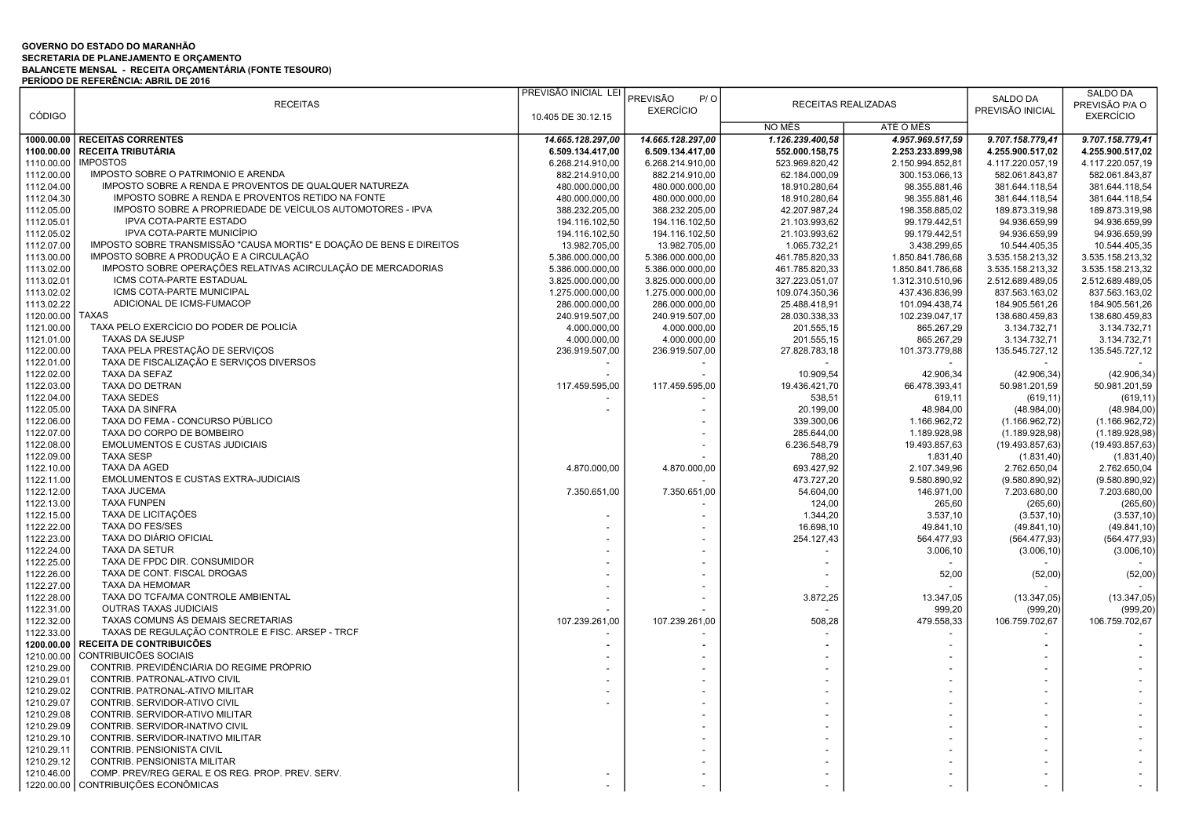## GOVERNO DO ESTADO DO MARANHÃO SECRETARIA DE PLANEJAMENTO E ORÇAMENTO BALANCETE MENSAL - RECEITA ORÇAMENTÁRIA (FONTE TESOURO) PERÍODO DE REFERÊNCIA: ABRIL DE 2016

|               |                                                                      | PREVISÃO INICIAL LEI | PREVISÃO<br>P/O   |                            |                  | <b>SALDO DA</b>  | SALDO DA         |
|---------------|----------------------------------------------------------------------|----------------------|-------------------|----------------------------|------------------|------------------|------------------|
|               | <b>RECEITAS</b>                                                      |                      | <b>EXERCÍCIO</b>  | <b>RECEITAS REALIZADAS</b> |                  | PREVISÃO INICIAL | PREVISÃO P/A O   |
| <b>CÓDIGO</b> |                                                                      | 10.405 DE 30.12.15   |                   |                            |                  |                  | <b>EXERCÍCIO</b> |
|               |                                                                      |                      |                   | NO MÊS                     | ATÉ O MÊS        |                  |                  |
| 1000.00.00    | <b>RECEITAS CORRENTES</b>                                            | 14.665.128.297,00    | 14.665.128.297,00 | 1.126.239.400,58           | 4.957.969.517,59 | 9.707.158.779,41 | 9.707.158.779,41 |
| 1100.00.00    | <b>RECEITA TRIBUTÁRIA</b>                                            | 6.509.134.417,00     | 6.509.134.417,00  | 552.000.158,75             | 2.253.233.899,98 | 4.255.900.517,02 | 4.255.900.517,02 |
| 1110.00.00    | <b>IMPOSTOS</b>                                                      | 6.268.214.910,00     | 6.268.214.910,00  | 523.969.820,42             | 2.150.994.852,81 | 4.117.220.057,19 | 4.117.220.057,19 |
| 1112.00.00    | IMPOSTO SOBRE O PATRIMONIO E ARENDA                                  | 882.214.910,00       | 882.214.910,00    | 62.184.000,09              | 300.153.066,13   | 582.061.843,87   | 582.061.843,87   |
| 1112.04.00    | IMPOSTO SOBRE A RENDA E PROVENTOS DE QUALQUER NATUREZA               | 480.000.000,00       | 480.000.000,00    | 18.910.280,64              | 98.355.881,46    | 381.644.118,54   | 381.644.118,54   |
| 1112.04.30    | IMPOSTO SOBRE A RENDA E PROVENTOS RETIDO NA FONTE                    | 480.000.000,00       | 480.000.000,00    | 18.910.280,64              | 98.355.881,46    | 381.644.118,54   | 381.644.118,54   |
| 1112.05.00    | IMPOSTO SOBRE A PROPRIEDADE DE VEÍCULOS AUTOMOTORES - IPVA           | 388.232.205,00       | 388.232.205,00    | 42.207.987,24              | 198.358.885,02   | 189.873.319,98   | 189.873.319,98   |
| 1112.05.01    | IPVA COTA-PARTE ESTADO                                               | 194.116.102,50       | 194.116.102,50    | 21.103.993,62              | 99.179.442,51    | 94.936.659,99    | 94.936.659,99    |
| 1112.05.02    | IPVA COTA-PARTE MUNICÍPIO                                            | 194.116.102,50       | 194.116.102,50    | 21.103.993,62              | 99.179.442,51    | 94.936.659,99    | 94.936.659,99    |
| 1112.07.00    | IMPOSTO SOBRE TRANSMISSÃO "CAUSA MORTIS" E DOAÇÃO DE BENS E DIREITOS | 13.982.705,00        | 13.982.705,00     | 1.065.732,21               | 3.438.299,65     | 10.544.405,35    | 10.544.405,35    |
| 1113.00.00    | IMPOSTO SOBRE A PRODUÇÃO E A CIRCULAÇÃO                              | 5.386.000.000,00     | 5.386.000.000,00  | 461.785.820,33             | 1.850.841.786,68 | 3.535.158.213,32 | 3.535.158.213,32 |
| 1113.02.00    | IMPOSTO SOBRE OPERAÇÕES RELATIVAS ACIRCULAÇÃO DE MERCADORIAS         | 5.386.000.000,00     | 5.386.000.000,00  | 461.785.820,33             | 1.850.841.786,68 | 3.535.158.213,32 | 3.535.158.213,32 |
| 1113.02.01    | ICMS COTA-PARTE ESTADUAL                                             | 3.825.000.000,00     | 3.825.000.000,00  | 327.223.051,07             | 1.312.310.510,96 | 2.512.689.489,05 | 2.512.689.489,05 |
| 1113.02.02    | ICMS COTA-PARTE MUNICIPAL                                            | 1.275.000.000,00     | 1.275.000.000,00  | 109.074.350,36             | 437.436.836,99   | 837.563.163,02   | 837.563.163,02   |
| 1113.02.22    | ADICIONAL DE ICMS-FUMACOP                                            | 286.000.000,00       | 286.000.000,00    | 25.488.418,91              | 101.094.438,74   | 184.905.561,26   | 184.905.561,26   |
| 1120.00.00    | <b>TAXAS</b>                                                         | 240.919.507,00       |                   | 28.030.338,33              | 102.239.047,17   | 138.680.459,83   | 138.680.459,83   |
|               | TAXA PELO EXERCÍCIO DO PODER DE POLICÍA                              |                      | 240.919.507,00    |                            |                  |                  |                  |
| 1121.00.00    | <b>TAXAS DA SEJUSP</b>                                               | 4.000.000,00         | 4.000.000,00      | 201.555,15                 | 865.267,29       | 3.134.732,71     | 3.134.732,71     |
| 1121.01.00    |                                                                      | 4.000.000,00         | 4.000.000,00      | 201.555,15                 | 865.267,29       | 3.134.732,71     | 3.134.732,71     |
| 1122.00.00    | TAXA PELA PRESTAÇÃO DE SERVIÇOS                                      | 236.919.507,00       | 236.919.507,00    | 27.828.783,18              | 101.373.779,88   | 135.545.727,12   | 135.545.727,12   |
| 1122.01.00    | TAXA DE FISCALIZAÇÃO E SERVIÇOS DIVERSOS                             |                      |                   |                            |                  |                  |                  |
| 1122.02.00    | TAXA DA SEFAZ                                                        |                      |                   | 10.909,54                  | 42.906,34        | (42.906, 34)     | (42.906, 34)     |
| 1122.03.00    | TAXA DO DETRAN                                                       | 117.459.595,00       | 117.459.595,00    | 19.436.421,70              | 66.478.393,41    | 50.981.201,59    | 50.981.201,59    |
| 1122.04.00    | <b>TAXA SEDES</b>                                                    |                      |                   | 538,51                     | 619,11           | (619, 11)        | (619, 11)        |
| 1122.05.00    | TAXA DA SINFRA                                                       |                      |                   | 20.199,00                  | 48.984,00        | (48.984,00)      | (48.984,00)      |
| 1122.06.00    | TAXA DO FEMA - CONCURSO PÚBLICO                                      |                      |                   | 339.300,06                 | 1.166.962,72     | (1.166.962, 72)  | (1.166.962, 72)  |
| 1122.07.00    | TAXA DO CORPO DE BOMBEIRO                                            |                      |                   | 285.644,00                 | 1.189.928,98     | (1.189.928.98)   | (1.189.928.98)   |
| 1122.08.00    | <b>EMOLUMENTOS E CUSTAS JUDICIAIS</b>                                |                      |                   | 6.236.548,79               | 19.493.857,63    | (19.493.857,63)  | (19.493.857, 63) |
| 1122.09.00    | <b>TAXA SESP</b>                                                     |                      |                   | 788,20                     | 1.831,40         | (1.831, 40)      | (1.831,40)       |
| 1122.10.00    | TAXA DA AGED                                                         | 4.870.000,00         | 4.870.000,00      | 693.427,92                 | 2.107.349,96     | 2.762.650,04     | 2.762.650,04     |
| 1122.11.00    | EMOLUMENTOS E CUSTAS EXTRA-JUDICIAIS                                 |                      |                   | 473.727,20                 | 9.580.890,92     | (9.580.890.92)   | (9.580.890.92)   |
| 1122.12.00    | <b>TAXA JUCEMA</b>                                                   | 7.350.651,00         | 7.350.651,00      | 54.604,00                  | 146.971,00       | 7.203.680,00     | 7.203.680,00     |
| 1122.13.00    | <b>TAXA FUNPEN</b>                                                   |                      |                   | 124,00                     | 265,60           | (265, 60)        | (265, 60)        |
| 1122.15.00    | TAXA DE LICITAÇÕES                                                   |                      |                   | 1.344,20                   | 3.537,10         | (3.537, 10)      | (3.537, 10)      |
| 1122.22.00    | <b>TAXA DO FES/SES</b>                                               |                      |                   | 16.698,10                  | 49.841,10        | (49.841, 10)     | (49.841, 10)     |
| 1122.23.00    | TAXA DO DIÁRIO OFICIAL                                               |                      |                   | 254.127,43                 | 564.477,93       | (564.477, 93)    | (564.477, 93)    |
| 1122.24.00    | <b>TAXA DA SETUR</b>                                                 |                      |                   |                            | 3.006,10         | (3.006, 10)      | (3.006, 10)      |
| 1122.25.00    | TAXA DE FPDC DIR. CONSUMIDOR                                         |                      |                   |                            |                  |                  |                  |
| 1122.26.00    | TAXA DE CONT. FISCAL DROGAS                                          |                      |                   |                            | 52,00            | (52,00)          | (52,00)          |
| 1122.27.00    | TAXA DA HEMOMAR                                                      |                      |                   |                            |                  |                  |                  |
| 1122.28.00    | TAXA DO TCFA/MA CONTROLE AMBIENTAL                                   |                      |                   | 3.872,25                   | 13.347,05        | (13.347,05)      | (13.347,05)      |
| 1122.31.00    | <b>OUTRAS TAXAS JUDICIAIS</b>                                        |                      |                   |                            | 999,20           | (999, 20)        | (999, 20)        |
| 1122.32.00    | TAXAS COMUNS ÀS DEMAIS SECRETARIAS                                   | 107.239.261,00       | 107.239.261,00    | 508,28                     | 479.558,33       | 106.759.702,67   | 106.759.702,67   |
| 1122.33.00    | TAXAS DE REGULAÇÃO CONTROLE E FISC. ARSEP - TRCF                     |                      |                   |                            |                  |                  |                  |
| 1200.00.00    | RECEITA DE CONTRIBUICÕES                                             |                      |                   |                            |                  |                  |                  |
| 1210.00.00    | CONTRIBUICÕES SOCIAIS                                                |                      |                   |                            |                  |                  |                  |
| 1210.29.00    | CONTRIB. PREVIDÊNCIÁRIA DO REGIME PRÓPRIO                            |                      |                   |                            |                  |                  |                  |
| 1210.29.01    | CONTRIB. PATRONAL-ATIVO CIVIL                                        |                      |                   |                            |                  |                  |                  |
| 1210.29.02    | CONTRIB. PATRONAL-ATIVO MILITAR                                      |                      |                   |                            |                  |                  |                  |
| 1210.29.07    | CONTRIB. SERVIDOR-ATIVO CIVIL                                        |                      |                   |                            |                  |                  |                  |
| 1210.29.08    | CONTRIB. SERVIDOR-ATIVO MILITAR                                      |                      |                   |                            |                  |                  |                  |
| 1210.29.09    | CONTRIB. SERVIDOR-INATIVO CIVIL                                      |                      |                   |                            |                  |                  |                  |
| 1210.29.10    | CONTRIB. SERVIDOR-INATIVO MILITAR                                    |                      |                   |                            |                  |                  |                  |
| 1210.29.11    | CONTRIB. PENSIONISTA CIVIL                                           |                      |                   |                            |                  |                  |                  |
| 1210.29.12    | CONTRIB. PENSIONISTA MILITAR                                         |                      |                   |                            |                  |                  |                  |
| 1210.46.00    | COMP. PREV/REG GERAL E OS REG. PROP. PREV. SERV.                     |                      |                   |                            |                  |                  |                  |
|               | 1220.00.00 CONTRIBUIÇÕES ECONÔMICAS                                  |                      |                   |                            |                  |                  |                  |
|               |                                                                      |                      |                   |                            |                  |                  |                  |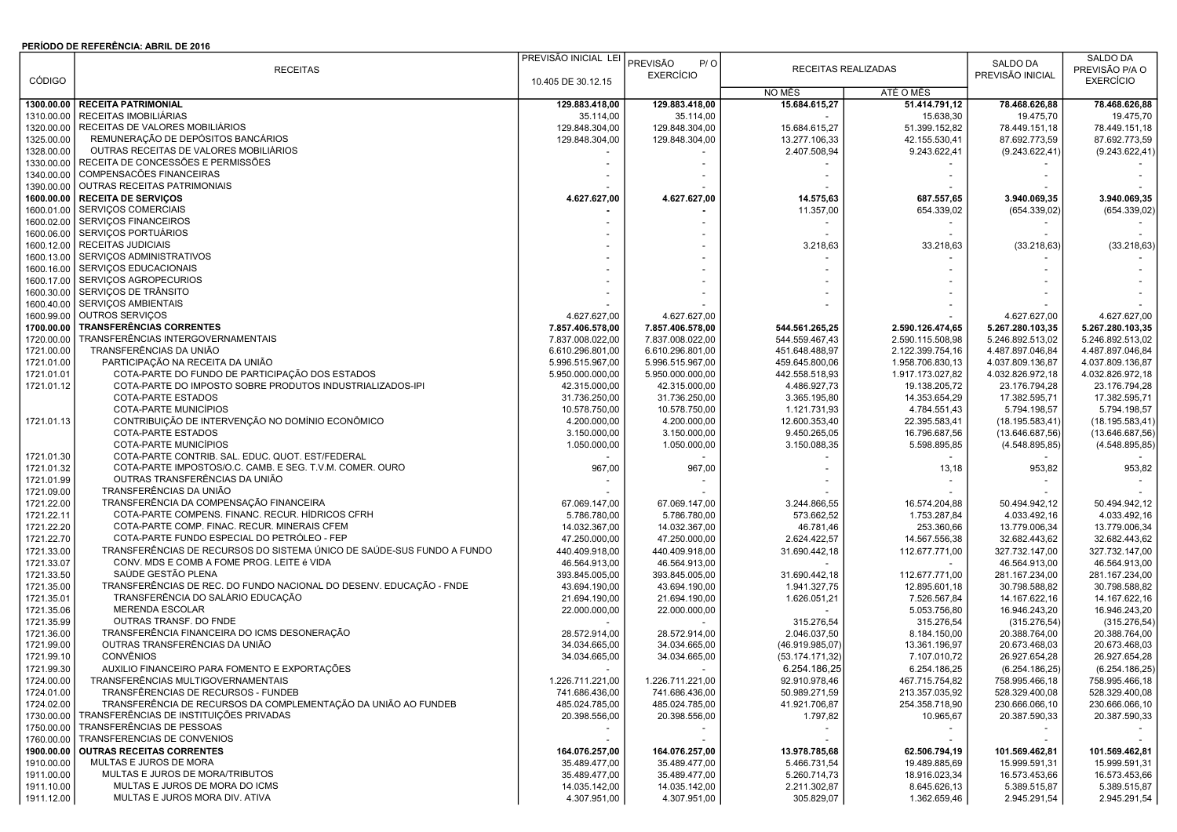## PERÍODO DE REFERÊNCIA: ABRIL DE 2016

|               |                                                                           | PREVISÃO INICIAL LEI |                  |                          |                     |                  | <b>SALDO DA</b>  |
|---------------|---------------------------------------------------------------------------|----------------------|------------------|--------------------------|---------------------|------------------|------------------|
|               | <b>RECEITAS</b>                                                           |                      | PREVISÃO<br>P/O  |                          | RECEITAS REALIZADAS | SALDO DA         | PREVISÃO P/A O   |
| <b>CÓDIGO</b> |                                                                           | 10.405 DE 30.12.15   | <b>EXERCÍCIO</b> |                          |                     | PREVISÃO INICIAL | <b>EXERCÍCIO</b> |
|               |                                                                           |                      |                  | NO MÊS                   | ATÉ O MÊS           |                  |                  |
|               | 1300.00.00 RECEITA PATRIMONIAL                                            | 129.883.418,00       | 129.883.418,00   | 15.684.615,27            | 51.414.791,12       | 78.468.626,88    | 78.468.626,88    |
| 1310.00.00    | RECEITAS IMOBILIÁRIAS                                                     | 35.114,00            | 35.114,00        |                          | 15.638,30           | 19.475,70        | 19.475,70        |
|               | RECEITAS DE VALORES MOBILIÁRIOS                                           |                      |                  |                          |                     |                  |                  |
| 1320.00.00    |                                                                           | 129.848.304,00       | 129.848.304,00   | 15.684.615,27            | 51.399.152,82       | 78.449.151,18    | 78.449.151,18    |
| 1325.00.00    | REMUNERAÇÃO DE DEPÓSITOS BANCÁRIOS                                        | 129.848.304,00       | 129.848.304,00   | 13.277.106,33            | 42.155.530,41       | 87.692.773,59    | 87.692.773,59    |
| 1328.00.00    | OUTRAS RECEITAS DE VALORES MOBILIÁRIOS                                    |                      |                  | 2.407.508,94             | 9.243.622,41        | (9.243.622, 41)  | (9.243.622, 41)  |
| 1330.00.00    | RECEITA DE CONCESSÕES E PERMISSÕES                                        |                      |                  |                          |                     |                  |                  |
| 1340.00.00    | COMPENSACÕES FINANCEIRAS                                                  |                      |                  |                          |                     |                  |                  |
|               | 1390.00.00   OUTRAS RECEITAS PATRIMONIAIS                                 |                      |                  |                          |                     |                  |                  |
|               | 1600.00.00   RECEITA DE SERVIÇOS                                          | 4.627.627,00         | 4.627.627,00     | 14.575,63                | 687.557,65          | 3.940.069,35     | 3.940.069,35     |
|               | 1600.01.00 SERVIÇOS COMERCIAIS                                            |                      |                  | 11.357,00                | 654.339,02          | (654.339,02)     | (654.339,02)     |
|               | 1600.02.00 SERVIÇOS FINANCEIROS                                           |                      |                  |                          |                     |                  |                  |
|               | 1600.06.00 SERVIÇOS PORTUÁRIOS                                            |                      |                  |                          |                     |                  |                  |
|               | 1600.12.00 RECEITAS JUDICIAIS                                             |                      |                  | 3.218,63                 | 33.218,63           | (33.218, 63)     | (33.218, 63)     |
|               | 1600.13.00 SERVIÇOS ADMINISTRATIVOS                                       |                      |                  |                          |                     |                  |                  |
|               | 1600.16.00 SERVIÇOS EDUCACIONAIS                                          |                      |                  |                          |                     |                  |                  |
|               |                                                                           |                      |                  |                          |                     |                  |                  |
|               | 1600.17.00 SERVIÇOS AGROPECURIOS                                          |                      |                  |                          |                     |                  |                  |
|               | 1600.30.00 SERVIÇOS DE TRÂNSITO                                           |                      |                  |                          |                     |                  |                  |
|               | 1600.40.00 SERVIÇOS AMBIENTAIS                                            |                      |                  |                          |                     |                  |                  |
|               | 1600.99.00   OUTROS SERVIÇOS                                              | 4.627.627,00         | 4.627.627,00     |                          |                     | 4.627.627,00     | 4.627.627,00     |
|               | 1700.00.00 TRANSFERÊNCIAS CORRENTES                                       | 7.857.406.578,00     | 7.857.406.578,00 | 544.561.265.25           | 2.590.126.474,65    | 5.267.280.103,35 | 5.267.280.103,35 |
|               | 1720.00.00   TRANSFERÊNCIAS INTERGOVERNAMENTAIS                           | 7.837.008.022,00     | 7.837.008.022,00 | 544.559.467,43           | 2.590.115.508,98    | 5.246.892.513,02 | 5.246.892.513,02 |
| 1721.00.00    | TRANSFERÊNCIAS DA UNIÃO                                                   | 6.610.296.801,00     | 6.610.296.801,00 | 451.648.488,97           | 2.122.399.754,16    | 4.487.897.046,84 | 4.487.897.046,84 |
| 1721.01.00    | PARTICIPAÇÃO NA RECEITA DA UNIÃO                                          | 5.996.515.967,00     | 5.996.515.967,00 | 459.645.800,06           | 1.958.706.830,13    | 4.037.809.136,87 | 4.037.809.136,87 |
| 1721.01.01    | COTA-PARTE DO FUNDO DE PARTICIPAÇÃO DOS ESTADOS                           | 5.950.000.000,00     | 5.950.000.000,00 | 442.558.518,93           | 1.917.173.027,82    | 4.032.826.972,18 | 4.032.826.972,18 |
| 1721.01.12    | COTA-PARTE DO IMPOSTO SOBRE PRODUTOS INDUSTRIALIZADOS-IPI                 | 42.315.000,00        | 42.315.000,00    | 4.486.927,73             | 19.138.205,72       | 23.176.794,28    | 23.176.794,28    |
|               | COTA-PARTE ESTADOS                                                        |                      |                  |                          |                     |                  |                  |
|               |                                                                           | 31.736.250,00        | 31.736.250,00    | 3.365.195,80             | 14.353.654,29       | 17.382.595,71    | 17.382.595,71    |
|               | COTA-PARTE MUNICÍPIOS                                                     | 10.578.750,00        | 10.578.750,00    | 1.121.731,93             | 4.784.551,43        | 5.794.198,57     | 5.794.198,57     |
| 1721.01.13    | CONTRIBUIÇÃO DE INTERVENÇÃO NO DOMÍNIO ECONÔMICO                          | 4.200.000,00         | 4.200.000,00     | 12.600.353,40            | 22.395.583,41       | (18.195.583, 41) | (18.195.583, 41) |
|               | COTA-PARTE ESTADOS                                                        | 3.150.000,00         | 3.150.000,00     | 9.450.265,05             | 16.796.687,56       | (13.646.687, 56) | (13.646.687,56)  |
|               | COTA-PARTE MUNICÍPIOS                                                     | 1.050.000,00         | 1.050.000,00     | 3.150.088,35             | 5.598.895,85        | (4.548.895, 85)  | (4.548.895, 85)  |
| 1721.01.30    | COTA-PARTE CONTRIB. SAL. EDUC. QUOT. EST/FEDERAL                          |                      |                  |                          |                     |                  |                  |
| 1721.01.32    | COTA-PARTE IMPOSTOS/O.C. CAMB. E SEG. T.V.M. COMER. OURO                  | 967,00               | 967,00           |                          | 13,18               | 953,82           | 953,82           |
| 1721.01.99    | OUTRAS TRANSFERÊNCIAS DA UNIÃO                                            |                      |                  |                          |                     |                  |                  |
| 1721.09.00    | TRANSFERÊNCIAS DA UNIÃO                                                   |                      |                  |                          |                     |                  |                  |
| 1721.22.00    | TRANSFERÊNCIA DA COMPENSAÇÃO FINANCEIRA                                   | 67.069.147,00        | 67.069.147,00    | 3.244.866,55             | 16.574.204,88       | 50.494.942,12    | 50.494.942,12    |
| 1721.22.11    | COTA-PARTE COMPENS. FINANC. RECUR. HÍDRICOS CFRH                          | 5.786.780,00         | 5.786.780,00     | 573.662,52               | 1.753.287,84        | 4.033.492,16     | 4.033.492,16     |
| 1721.22.20    | COTA-PARTE COMP. FINAC. RECUR. MINERAIS CFEM                              | 14.032.367,00        | 14.032.367,00    | 46.781,46                | 253.360,66          | 13.779.006,34    | 13.779.006,34    |
| 1721.22.70    | COTA-PARTE FUNDO ESPECIAL DO PETRÓLEO - FEP                               | 47.250.000,00        | 47.250.000,00    | 2.624.422,57             | 14.567.556,38       | 32.682.443,62    | 32.682.443,62    |
|               |                                                                           |                      |                  |                          |                     |                  |                  |
| 1721.33.00    | TRANSFERÊNCIAS DE RECURSOS DO SISTEMA ÚNICO DE SAÚDE-SUS FUNDO A FUNDO    | 440.409.918,00       | 440.409.918,00   | 31.690.442,18            | 112.677.771,00      | 327.732.147,00   | 327.732.147,00   |
| 1721.33.07    | CONV. MDS E COMB A FOME PROG. LEITE é VIDA                                | 46.564.913,00        | 46.564.913,00    |                          |                     | 46.564.913,00    | 46.564.913,00    |
| 1721.33.50    | SAÚDE GESTÃO PLENA                                                        | 393.845.005,00       | 393.845.005,00   | 31.690.442,18            | 112.677.771,00      | 281.167.234,00   | 281.167.234,00   |
| 1721.35.00    | TRANSFERÊNCIAS DE REC. DO FUNDO NACIONAL DO DESENV. EDUCAÇÃO - FNDE       | 43.694.190,00        | 43.694.190,00    | 1.941.327,75             | 12.895.601,18       | 30.798.588,82    | 30.798.588,82    |
| 1721.35.01    | TRANSFERÊNCIA DO SALÁRIO EDUCAÇÃO                                         | 21.694.190,00        | 21.694.190,00    | 1.626.051,21             | 7.526.567,84        | 14.167.622,16    | 14.167.622,16    |
| 1721.35.06    | <b>MERENDA ESCOLAR</b>                                                    | 22.000.000,00        | 22.000.000,00    |                          | 5.053.756.80        | 16.946.243.20    | 16.946.243,20    |
| 1721.35.99    | OUTRAS TRANSF, DO FNDE                                                    |                      |                  | 315.276,54               | 315.276,54          | (315.276, 54)    | (315.276, 54)    |
| 1721.36.00    | TRANSFERÊNCIA FINANCEIRA DO ICMS DESONERAÇÃO                              | 28.572.914,00        | 28.572.914,00    | 2.046.037,50             | 8.184.150,00        | 20.388.764,00    | 20.388.764,00    |
| 1721.99.00    | OUTRAS TRANSFERÊNCIAS DA UNIÃO                                            | 34.034.665,00        | 34.034.665,00    | (46.919.985,07           | 13.361.196,97       | 20.673.468,03    | 20.673.468,03    |
| 1721.99.10    | <b>CONVÊNIOS</b>                                                          | 34.034.665,00        | 34.034.665,00    | (53.174.171,32)          | 7.107.010,72        | 26.927.654,28    | 26.927.654,28    |
| 1721.99.30    | AUXILIO FINANCEIRO PARA FOMENTO E EXPORTAÇÕES                             |                      |                  | 6.254.186,25             | 6.254.186,25        | (6.254.186.25)   | (6.254.186, 25)  |
|               |                                                                           |                      |                  |                          |                     |                  |                  |
| 1724.00.00    | TRANSFERENCIAS MULTIGOVERNAMENTAIS<br>TRANSFÊRENCIAS DE RECURSOS - FUNDEB | 1.226.711.221,00     | 1.226.711.221,00 | 92.910.978,46            | 467.715.754,82      | 758.995.466,18   | 758.995.466,18   |
| 1724.01.00    |                                                                           | 741.686.436,00       | 741.686.436,00   | 50.989.271,59            | 213.357.035,92      | 528.329.400,08   | 528.329.400,08   |
| 1724.02.00    | TRANSFERÊNCIA DE RECURSOS DA COMPLEMENTAÇÃO DA UNIÃO AO FUNDEB            | 485.024.785,00       | 485.024.785,00   | 41.921.706,87            | 254.358.718,90      | 230.666.066,10   | 230.666.066,10   |
|               | 1730.00.00 TRANSFERÊNCIAS DE INSTITUIÇÕES PRIVADAS                        | 20.398.556,00        | 20.398.556,00    | 1.797,82                 | 10.965,67           | 20.387.590,33    | 20.387.590,33    |
|               | 1750.00.00 TRANSFERÊNCIAS DE PESSOAS                                      | $\sim$               |                  | $\overline{\phantom{a}}$ | $\sim$              |                  |                  |
|               | 1760.00.00   TRANSFERENCIAS DE CONVENIOS                                  |                      |                  |                          | $\sim$              |                  |                  |
|               | 1900.00.00 OUTRAS RECEITAS CORRENTES                                      | 164.076.257,00       | 164.076.257,00   | 13.978.785,68            | 62.506.794,19       | 101.569.462,81   | 101.569.462,81   |
| 1910.00.00    | MULTAS E JUROS DE MORA                                                    | 35.489.477,00        | 35.489.477,00    | 5.466.731,54             | 19.489.885,69       | 15.999.591,31    | 15.999.591,31    |
| 1911.00.00    | MULTAS E JUROS DE MORA/TRIBUTOS                                           | 35.489.477,00        | 35.489.477,00    | 5.260.714.73             | 18.916.023,34       | 16.573.453,66    | 16.573.453.66    |
| 1911.10.00    | MULTAS E JUROS DE MORA DO ICMS                                            | 14.035.142,00        | 14.035.142,00    | 2.211.302,87             | 8.645.626,13        | 5.389.515,87     | 5.389.515,87     |
| 1911.12.00    | MULTAS E JUROS MORA DIV. ATIVA                                            | 4.307.951,00         | 4.307.951,00     | 305.829,07               | 1.362.659,46        | 2.945.291,54     | 2.945.291,54     |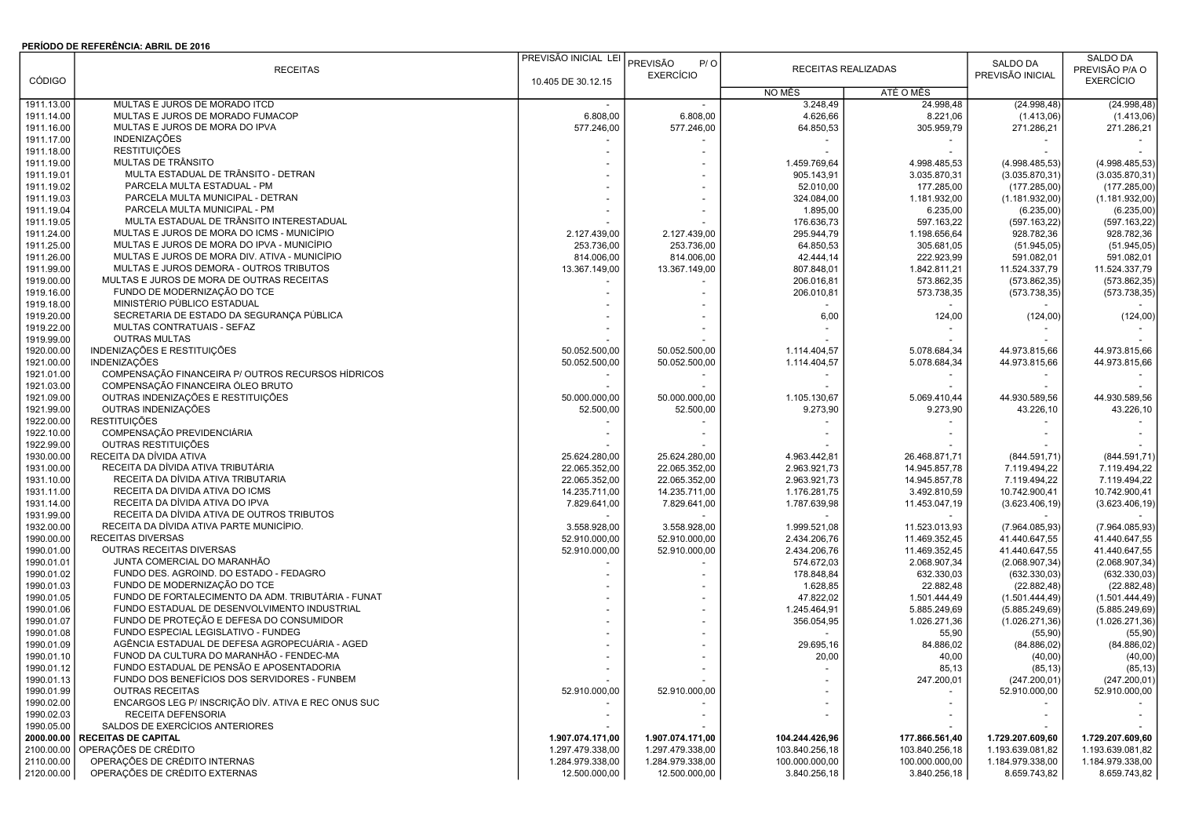## PERÍODO DE REFERÊNCIA: ABRIL DE 2016

|               |                                                     | PREVISÃO INICIAL LEI |                  |                     |                |                  | SALDO DA         |
|---------------|-----------------------------------------------------|----------------------|------------------|---------------------|----------------|------------------|------------------|
|               | <b>RECEITAS</b>                                     |                      | PREVISÃO<br>P/O  | RECEITAS REALIZADAS |                | <b>SALDO DA</b>  | PREVISÃO P/A O   |
| <b>CÓDIGO</b> |                                                     | 10.405 DE 30.12.15   | <b>EXERCÍCIO</b> |                     |                | PREVISÃO INICIAL | <b>EXERCÍCIO</b> |
|               |                                                     |                      |                  | NO MÊS              | ATÉ O MÊS      |                  |                  |
| 1911.13.00    | MULTAS E JUROS DE MORADO ITCD                       |                      |                  | 3.248,49            | 24.998,48      | (24.998, 48)     | (24.998, 48)     |
| 1911.14.00    | MULTAS E JUROS DE MORADO FUMACOP                    | 6.808,00             | 6.808,00         | 4.626,66            | 8.221,06       | (1.413,06)       | (1.413,06)       |
| 1911.16.00    | MULTAS E JUROS DE MORA DO IPVA                      | 577.246,00           | 577.246,00       | 64.850,53           | 305.959.79     | 271.286,21       | 271.286,21       |
| 1911.17.00    | <b>INDENIZAÇÕES</b>                                 |                      |                  |                     |                |                  |                  |
| 1911.18.00    | <b>RESTITUIÇÕES</b>                                 |                      |                  |                     |                |                  |                  |
| 1911.19.00    | MULTAS DE TRÂNSITO                                  |                      |                  | 1.459.769,64        | 4.998.485,53   | (4.998.485,53)   | (4.998.485,53)   |
| 1911.19.01    | MULTA ESTADUAL DE TRÂNSITO - DETRAN                 |                      |                  | 905.143,91          | 3.035.870,31   | (3.035.870, 31)  | (3.035.870, 31)  |
| 1911.19.02    | PARCELA MULTA ESTADUAL - PM                         |                      |                  | 52.010,00           | 177.285,00     | (177.285,00)     | (177.285,00)     |
| 1911.19.03    | PARCELA MULTA MUNICIPAL - DETRAN                    |                      |                  | 324.084,00          | 1.181.932,00   | (1.181.932,00)   | (1.181.932,00)   |
| 1911.19.04    | PARCELA MULTA MUNICIPAL - PM                        |                      |                  | 1.895,00            | 6.235,00       | (6.235,00)       | (6.235,00)       |
| 1911.19.05    | MULTA ESTADUAL DE TRÂNSITO INTERESTADUAL            |                      |                  | 176.636,73          | 597.163,22     | (597.163, 22)    | (597.163, 22)    |
| 1911.24.00    | MULTAS E JUROS DE MORA DO ICMS - MUNICÍPIO          | 2.127.439,00         | 2.127.439,00     | 295.944,79          | 1.198.656,64   | 928.782,36       | 928.782,36       |
| 1911.25.00    | MULTAS E JUROS DE MORA DO IPVA - MUNICÍPIO          | 253.736,00           | 253.736,00       | 64.850,53           | 305.681,05     | (51.945, 05)     | (51.945, 05)     |
| 1911.26.00    | MULTAS E JUROS DE MORA DIV. ATIVA - MUNICÍPIO       | 814.006,00           | 814.006,00       | 42.444,14           | 222.923,99     | 591.082,01       | 591.082,01       |
| 1911.99.00    | MULTAS E JUROS DEMORA - OUTROS TRIBUTOS             | 13.367.149,00        | 13.367.149,00    | 807.848,01          | 1.842.811,21   | 11.524.337,79    | 11.524.337,79    |
| 1919.00.00    | MULTAS E JUROS DE MORA DE OUTRAS RECEITAS           |                      |                  | 206.016,81          | 573.862,35     | (573.862, 35)    | (573.862, 35)    |
|               | FUNDO DE MODERNIZAÇÃO DO TCE                        |                      |                  |                     |                |                  |                  |
| 1919.16.00    |                                                     |                      |                  | 206.010,81          | 573.738,35     | (573.738, 35)    | (573.738, 35)    |
| 1919.18.00    | MINISTÉRIO PÚBLICO ESTADUAL                         |                      |                  |                     |                |                  |                  |
| 1919.20.00    | SECRETARIA DE ESTADO DA SEGURANÇA PÚBLICA           |                      |                  | 6,00                | 124,00         | (124,00)         | (124,00)         |
| 1919.22.00    | MULTAS CONTRATUAIS - SEFAZ                          |                      |                  |                     |                |                  |                  |
| 1919.99.00    | <b>OUTRAS MULTAS</b>                                |                      |                  |                     |                |                  |                  |
| 1920.00.00    | INDENIZAÇÕES E RESTITUIÇÕES                         | 50.052.500,00        | 50.052.500,00    | 1.114.404,57        | 5.078.684,34   | 44.973.815,66    | 44.973.815,66    |
| 1921.00.00    | INDENIZAÇÕES                                        | 50.052.500,00        | 50.052.500,00    | 1.114.404,57        | 5.078.684,34   | 44.973.815,66    | 44.973.815,66    |
| 1921.01.00    | COMPENSAÇÃO FINANCEIRA P/ OUTROS RECURSOS HÍDRICOS  |                      |                  |                     |                |                  |                  |
| 1921.03.00    | COMPENSAÇÃO FINANCEIRA ÓLEO BRUTO                   |                      |                  |                     |                |                  |                  |
| 1921.09.00    | OUTRAS INDENIZAÇÕES E RESTITUIÇÕES                  | 50.000.000,00        | 50.000.000,00    | 1.105.130,67        | 5.069.410,44   | 44.930.589,56    | 44.930.589,56    |
| 1921.99.00    | OUTRAS INDENIZAÇÕES                                 | 52.500,00            | 52.500,00        | 9.273,90            | 9.273,90       | 43.226,10        | 43.226,10        |
| 1922.00.00    | <b>RESTITUIÇÕES</b>                                 |                      |                  |                     |                |                  |                  |
| 1922.10.00    | COMPENSAÇÃO PREVIDENCIÁRIA                          |                      |                  |                     |                |                  |                  |
| 1922.99.00    | OUTRAS RESTITUIÇÕES                                 |                      |                  |                     |                |                  |                  |
| 1930.00.00    | RECEITA DA DÍVIDA ATIVA                             | 25.624.280,00        | 25.624.280,00    | 4.963.442,81        | 26.468.871,71  | (844.591,71      | (844.591,71)     |
| 1931.00.00    | RECEITA DA DÍVIDA ATIVA TRIBUTÁRIA                  | 22.065.352,00        | 22.065.352,00    | 2.963.921,73        | 14.945.857,78  | 7.119.494,22     | 7.119.494,22     |
| 1931.10.00    | RECEITA DA DÍVIDA ATIVA TRIBUTARIA                  | 22.065.352,00        | 22.065.352,00    | 2.963.921,73        | 14.945.857,78  | 7.119.494,22     | 7.119.494,22     |
| 1931.11.00    | RECEITA DA DIVIDA ATIVA DO ICMS                     | 14.235.711,00        | 14.235.711,00    | 1.176.281,75        | 3.492.810,59   | 10.742.900,41    | 10.742.900,41    |
| 1931.14.00    | RECEITA DA DÍVIDA ATIVA DO IPVA                     | 7.829.641,00         | 7.829.641,00     | 1.787.639,98        | 11.453.047,19  | (3.623.406, 19)  | (3.623.406, 19)  |
| 1931.99.00    | RECEITA DA DÍVIDA ATIVA DE OUTROS TRIBUTOS          |                      |                  |                     |                |                  |                  |
| 1932.00.00    | RECEITA DA DÍVIDA ATIVA PARTE MUNICÍPIO.            | 3.558.928,00         | 3.558.928,00     | 1.999.521,08        | 11.523.013,93  | (7.964.085.93)   | (7.964.085, 93)  |
| 1990.00.00    | RECEITAS DIVERSAS                                   | 52.910.000,00        | 52.910.000,00    | 2.434.206,76        | 11.469.352,45  | 41.440.647,55    | 41.440.647,55    |
| 1990.01.00    | OUTRAS RECEITAS DIVERSAS                            | 52.910.000,00        | 52.910.000,00    | 2.434.206,76        | 11.469.352,45  | 41.440.647,55    | 41.440.647,55    |
| 1990.01.01    | JUNTA COMERCIAL DO MARANHÃO                         |                      |                  | 574.672,03          | 2.068.907,34   | (2.068.907, 34)  | (2.068.907, 34)  |
| 1990.01.02    | FUNDO DES. AGROIND. DO ESTADO - FEDAGRO             |                      |                  | 178.848,84          | 632.330,03     | (632.330,03)     | (632.330,03)     |
| 1990.01.03    | FUNDO DE MODERNIZAÇÃO DO TCE                        |                      |                  | 1.628,85            | 22.882.48      | (22.882, 48)     | (22.882, 48)     |
| 1990.01.05    | FUNDO DE FORTALECIMENTO DA ADM. TRIBUTÁRIA - FUNAT  |                      |                  | 47.822,02           | 1.501.444,49   | (1.501.444, 49)  | (1.501.444, 49)  |
| 1990.01.06    | FUNDO ESTADUAL DE DESENVOLVIMENTO INDUSTRIAL        |                      |                  | 1.245.464,91        | 5.885.249,69   | (5.885.249, 69)  | (5.885.249, 69)  |
| 1990.01.07    | FUNDO DE PROTEÇÃO E DEFESA DO CONSUMIDOR            |                      |                  | 356.054,95          | 1.026.271,36   | (1.026.271,36)   | (1.026.271,36)   |
| 1990.01.08    | FUNDO ESPECIAL LEGISLATIVO - FUNDEG                 |                      |                  |                     | 55,90          | (55, 90)         | (55, 90)         |
| 1990.01.09    | AGÊNCIA ESTADUAL DE DEFESA AGROPECUÁRIA - AGED      |                      |                  | 29.695,16           | 84.886,02      | (84.886, 02)     | (84.886, 02)     |
| 1990.01.10    | FUNOD DA CULTURA DO MARANHÃO - FENDEC-MA            |                      |                  | 20,00               | 40,00          | (40,00)          | (40,00)          |
| 1990.01.12    | FUNDO ESTADUAL DE PENSÃO E APOSENTADORIA            |                      |                  |                     | 85,13          | (85, 13)         | (85, 13)         |
| 1990.01.13    | FUNDO DOS BENEFÍCIOS DOS SERVIDORES - FUNBEM        |                      |                  |                     | 247.200,01     | (247.200, 01)    | (247.200, 01)    |
| 1990.01.99    | <b>OUTRAS RECEITAS</b>                              | 52.910.000,00        | 52.910.000,00    |                     |                | 52.910.000,00    | 52.910.000,00    |
| 1990.02.00    | ENCARGOS LEG P/ INSCRIÇÃO DÍV. ATIVA E REC ONUS SUC |                      |                  |                     |                |                  |                  |
| 1990.02.03    | RECEITA DEFENSORIA                                  |                      |                  |                     |                |                  |                  |
| 1990.05.00    | SALDOS DE EXERCÍCIOS ANTERIORES                     |                      |                  |                     |                |                  |                  |
| 2000.00.00    | <b>RECEITAS DE CAPITAL</b>                          | 1.907.074.171,00     | 1.907.074.171,00 | 104.244.426,96      | 177.866.561,40 | 1.729.207.609,60 | 1.729.207.609,60 |
| 2100.00.00    | OPERAÇÕES DE CRÉDITO                                | 1.297.479.338,00     | 1.297.479.338,00 | 103.840.256,18      | 103.840.256,18 | 1.193.639.081,82 | 1.193.639.081,82 |
| 2110.00.00    | OPERAÇÕES DE CRÉDITO INTERNAS                       | 1.284.979.338,00     | 1.284.979.338,00 | 100.000.000,00      | 100.000.000,00 | 1.184.979.338,00 | 1.184.979.338,00 |
| 2120.00.00    | OPERAÇÕES DE CRÉDITO EXTERNAS                       | 12.500.000,00        | 12.500.000,00    | 3.840.256,18        | 3.840.256,18   | 8.659.743,82     | 8.659.743,82     |
|               |                                                     |                      |                  |                     |                |                  |                  |